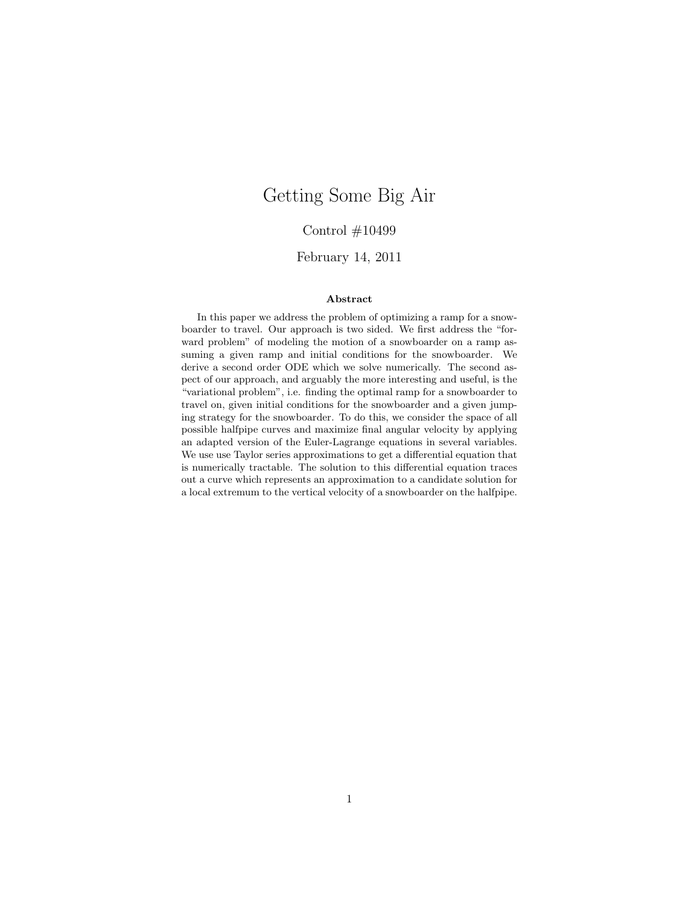# Getting Some Big Air

## Control #10499

## February 14, 2011

#### Abstract

In this paper we address the problem of optimizing a ramp for a snowboarder to travel. Our approach is two sided. We first address the "forward problem" of modeling the motion of a snowboarder on a ramp assuming a given ramp and initial conditions for the snowboarder. We derive a second order ODE which we solve numerically. The second aspect of our approach, and arguably the more interesting and useful, is the "variational problem", i.e. finding the optimal ramp for a snowboarder to travel on, given initial conditions for the snowboarder and a given jumping strategy for the snowboarder. To do this, we consider the space of all possible halfpipe curves and maximize final angular velocity by applying an adapted version of the Euler-Lagrange equations in several variables. We use use Taylor series approximations to get a differential equation that is numerically tractable. The solution to this differential equation traces out a curve which represents an approximation to a candidate solution for a local extremum to the vertical velocity of a snowboarder on the halfpipe.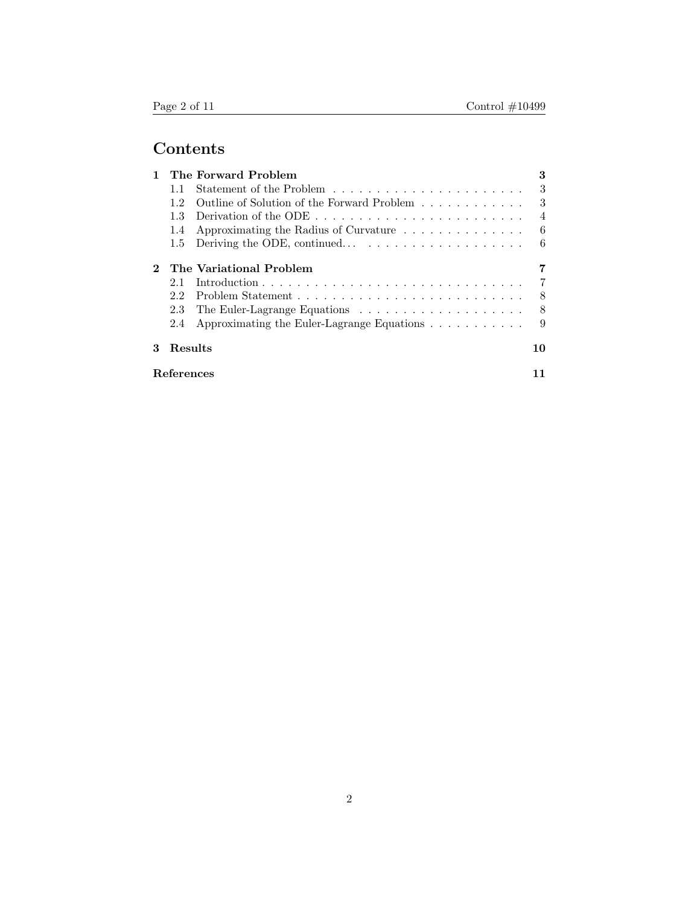# Contents

|   |            | The Forward Problem                                                           | 3              |
|---|------------|-------------------------------------------------------------------------------|----------------|
|   | 11         |                                                                               | $\mathcal{S}$  |
|   | 12         | Outline of Solution of the Forward Problem                                    | 3              |
|   | 1.3        | Derivation of the ODE $\dots \dots \dots \dots \dots \dots \dots \dots \dots$ | $\overline{4}$ |
|   | 1.4        | Approximating the Radius of Curvature                                         | 6              |
|   | $1.5\,$    |                                                                               | 6              |
|   |            | The Variational Problem                                                       |                |
|   | 2.1        |                                                                               | 7              |
|   | 2.2        |                                                                               | 8              |
|   | 2.3        |                                                                               | 8              |
|   | 2.4        | Approximating the Euler-Lagrange Equations                                    | 9              |
| 3 | Results    |                                                                               | 10             |
|   | References |                                                                               |                |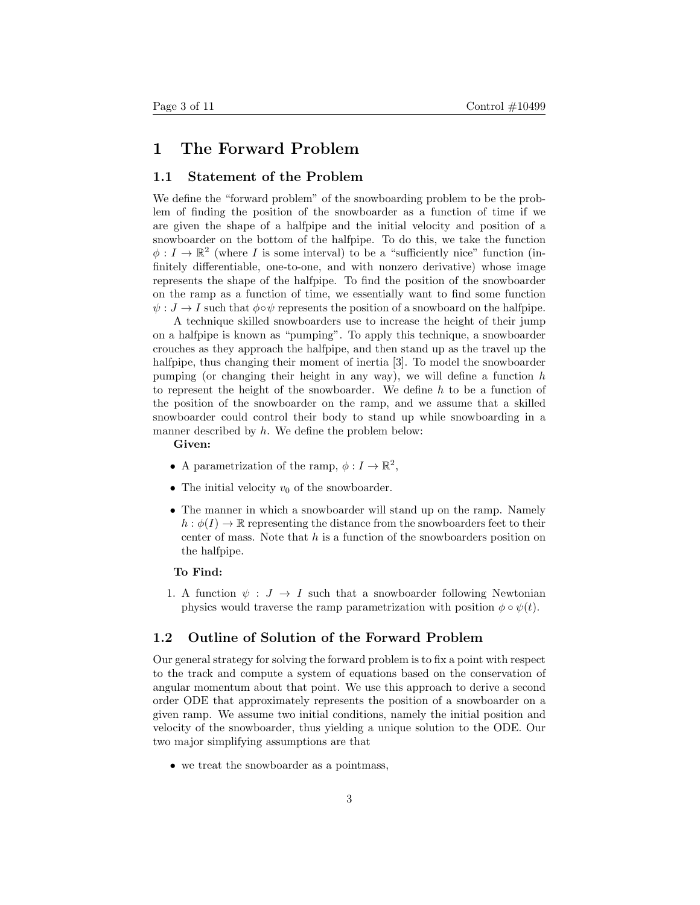## 1 The Forward Problem

## 1.1 Statement of the Problem

We define the "forward problem" of the snowboarding problem to be the problem of finding the position of the snowboarder as a function of time if we are given the shape of a halfpipe and the initial velocity and position of a snowboarder on the bottom of the halfpipe. To do this, we take the function  $\phi: I \to \mathbb{R}^2$  (where I is some interval) to be a "sufficiently nice" function (infinitely differentiable, one-to-one, and with nonzero derivative) whose image represents the shape of the halfpipe. To find the position of the snowboarder on the ramp as a function of time, we essentially want to find some function  $\psi : J \to I$  such that  $\phi \circ \psi$  represents the position of a snowboard on the halfpipe.

A technique skilled snowboarders use to increase the height of their jump on a halfpipe is known as "pumping". To apply this technique, a snowboarder crouches as they approach the halfpipe, and then stand up as the travel up the halfpipe, thus changing their moment of inertia [3]. To model the snowboarder pumping (or changing their height in any way), we will define a function  $h$ to represent the height of the snowboarder. We define  $h$  to be a function of the position of the snowboarder on the ramp, and we assume that a skilled snowboarder could control their body to stand up while snowboarding in a manner described by h. We define the problem below:

Given:

- A parametrization of the ramp,  $\phi: I \to \mathbb{R}^2$ ,
- The initial velocity  $v_0$  of the snowboarder.
- The manner in which a snowboarder will stand up on the ramp. Namely  $h : \phi(I) \to \mathbb{R}$  representing the distance from the snowboarders feet to their center of mass. Note that  $h$  is a function of the snowboarders position on the halfpipe.

#### To Find:

1. A function  $\psi : J \to I$  such that a snowboarder following Newtonian physics would traverse the ramp parametrization with position  $\phi \circ \psi(t)$ .

### 1.2 Outline of Solution of the Forward Problem

Our general strategy for solving the forward problem is to fix a point with respect to the track and compute a system of equations based on the conservation of angular momentum about that point. We use this approach to derive a second order ODE that approximately represents the position of a snowboarder on a given ramp. We assume two initial conditions, namely the initial position and velocity of the snowboarder, thus yielding a unique solution to the ODE. Our two major simplifying assumptions are that

• we treat the snowboarder as a pointmass,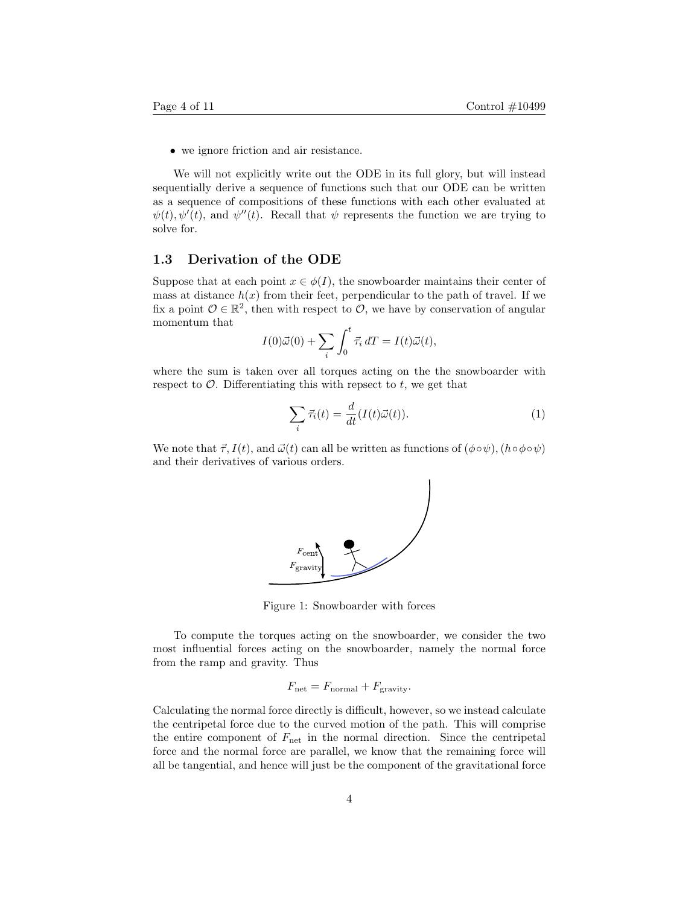• we ignore friction and air resistance.

We will not explicitly write out the ODE in its full glory, but will instead sequentially derive a sequence of functions such that our ODE can be written as a sequence of compositions of these functions with each other evaluated at  $\psi(t), \psi'(t)$ , and  $\psi''(t)$ . Recall that  $\psi$  represents the function we are trying to solve for.

#### 1.3 Derivation of the ODE

Suppose that at each point  $x \in \phi(I)$ , the snowboarder maintains their center of mass at distance  $h(x)$  from their feet, perpendicular to the path of travel. If we fix a point  $\mathcal{O} \in \mathbb{R}^2$ , then with respect to  $\mathcal{O}$ , we have by conservation of angular momentum that

$$
I(0)\vec{\omega}(0) + \sum_{i} \int_0^t \vec{\tau}_i dT = I(t)\vec{\omega}(t),
$$

where the sum is taken over all torques acting on the the snowboarder with respect to  $\mathcal{O}$ . Differentiating this with repsect to t, we get that

$$
\sum_{i} \vec{\tau}_{i}(t) = \frac{d}{dt} (I(t)\vec{\omega}(t)).
$$
\n(1)

We note that  $\vec{\tau}$ ,  $I(t)$ , and  $\vec{\omega}(t)$  can all be written as functions of  $(\phi \circ \psi)$ ,  $(h \circ \phi \circ \psi)$ and their derivatives of various orders.



Figure 1: Snowboarder with forces

To compute the torques acting on the snowboarder, we consider the two most influential forces acting on the snowboarder, namely the normal force from the ramp and gravity. Thus

$$
F_{\text{net}} = F_{\text{normal}} + F_{\text{gravity}}.
$$

Calculating the normal force directly is difficult, however, so we instead calculate the centripetal force due to the curved motion of the path. This will comprise the entire component of  $F_{\text{net}}$  in the normal direction. Since the centripetal force and the normal force are parallel, we know that the remaining force will all be tangential, and hence will just be the component of the gravitational force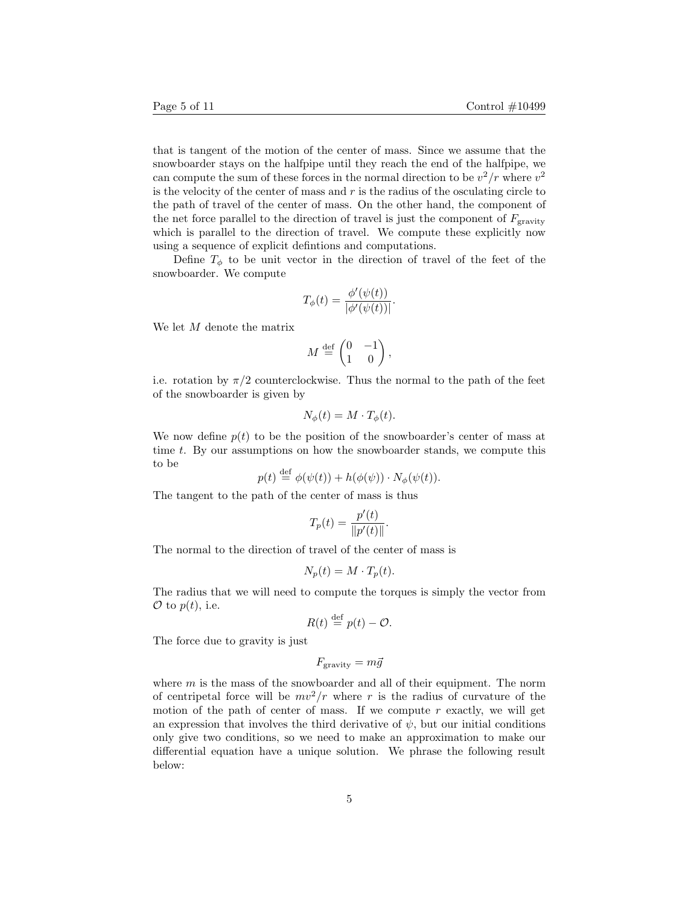that is tangent of the motion of the center of mass. Since we assume that the snowboarder stays on the halfpipe until they reach the end of the halfpipe, we can compute the sum of these forces in the normal direction to be  $v^2/r$  where  $v^2$ is the velocity of the center of mass and  $r$  is the radius of the osculating circle to the path of travel of the center of mass. On the other hand, the component of the net force parallel to the direction of travel is just the component of  $F_{\text{gravity}}$ which is parallel to the direction of travel. We compute these explicitly now using a sequence of explicit defintions and computations.

Define  $T_{\phi}$  to be unit vector in the direction of travel of the feet of the snowboarder. We compute

$$
T_{\phi}(t) = \frac{\phi'(\psi(t))}{|\phi'(\psi(t))|}.
$$

We let M denote the matrix

$$
M \stackrel{\text{def}}{=} \begin{pmatrix} 0 & -1 \\ 1 & 0 \end{pmatrix},
$$

i.e. rotation by  $\pi/2$  counterclockwise. Thus the normal to the path of the feet of the snowboarder is given by

$$
N_{\phi}(t) = M \cdot T_{\phi}(t).
$$

We now define  $p(t)$  to be the position of the snowboarder's center of mass at time t. By our assumptions on how the snowboarder stands, we compute this to be

$$
p(t) \stackrel{\text{def}}{=} \phi(\psi(t)) + h(\phi(\psi)) \cdot N_{\phi}(\psi(t)).
$$

The tangent to the path of the center of mass is thus

$$
T_p(t) = \frac{p'(t)}{\|p'(t)\|}.
$$

The normal to the direction of travel of the center of mass is

$$
N_p(t) = M \cdot T_p(t).
$$

The radius that we will need to compute the torques is simply the vector from  $\mathcal{O}$  to  $p(t)$ , i.e.

$$
R(t) \stackrel{\text{def}}{=} p(t) - \mathcal{O}.
$$

The force due to gravity is just

$$
F_{\text{gravity}} = m\vec{g}
$$

where  $m$  is the mass of the snowboarder and all of their equipment. The norm of centripetal force will be  $mv^2/r$  where r is the radius of curvature of the motion of the path of center of mass. If we compute  $r$  exactly, we will get an expression that involves the third derivative of  $\psi$ , but our initial conditions only give two conditions, so we need to make an approximation to make our differential equation have a unique solution. We phrase the following result below: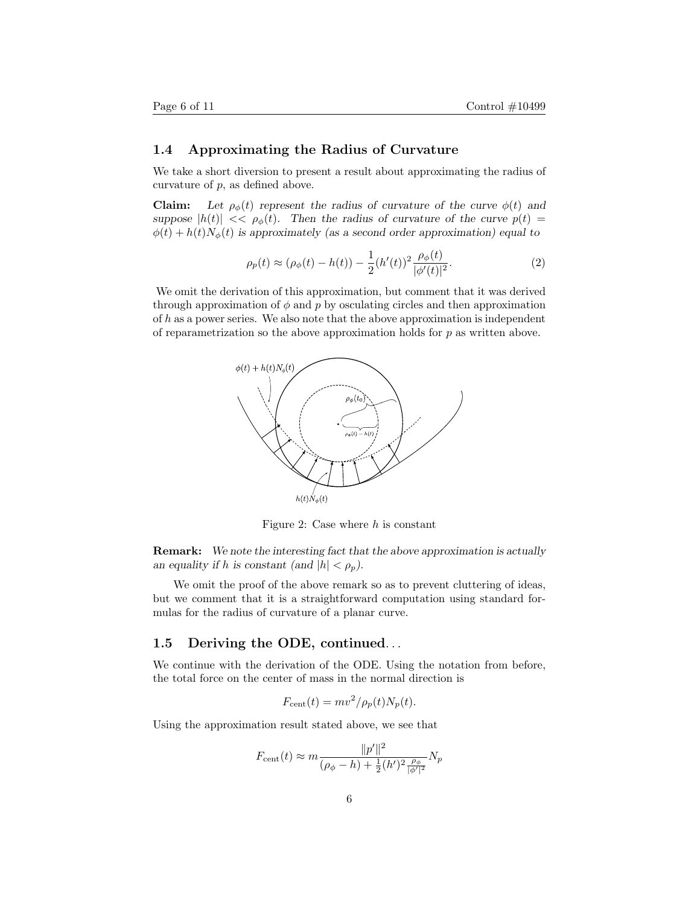## 1.4 Approximating the Radius of Curvature

We take a short diversion to present a result about approximating the radius of curvature of p, as defined above.

**Claim:** Let  $\rho_{\phi}(t)$  represent the radius of curvature of the curve  $\phi(t)$  and suppose  $|h(t)| \ll \rho_{\phi}(t)$ . Then the radius of curvature of the curve  $p(t)$  =  $\phi(t) + h(t)N_{\phi}(t)$  is approximately (as a second order approximation) equal to

$$
\rho_p(t) \approx (\rho_\phi(t) - h(t)) - \frac{1}{2} (h'(t))^2 \frac{\rho_\phi(t)}{|\phi'(t)|^2}.
$$
 (2)

We omit the derivation of this approximation, but comment that it was derived through approximation of  $\phi$  and p by osculating circles and then approximation of  $h$  as a power series. We also note that the above approximation is independent of reparametrization so the above approximation holds for  $p$  as written above.



Figure 2: Case where  $h$  is constant

Remark: We note the interesting fact that the above approximation is actually an equality if h is constant (and  $|h| < \rho_p$ ).

We omit the proof of the above remark so as to prevent cluttering of ideas, but we comment that it is a straightforward computation using standard formulas for the radius of curvature of a planar curve.

## 1.5 Deriving the ODE, continued. . .

We continue with the derivation of the ODE. Using the notation from before, the total force on the center of mass in the normal direction is

$$
F_{\text{cent}}(t) = mv^2/\rho_p(t)N_p(t).
$$

Using the approximation result stated above, we see that

$$
F_{\text{cent}}(t) \approx m \frac{\|p'\|^2}{(\rho_{\phi} - h) + \frac{1}{2}(h')^2 \frac{\rho_{\phi}}{|\phi'|^2}} N_p
$$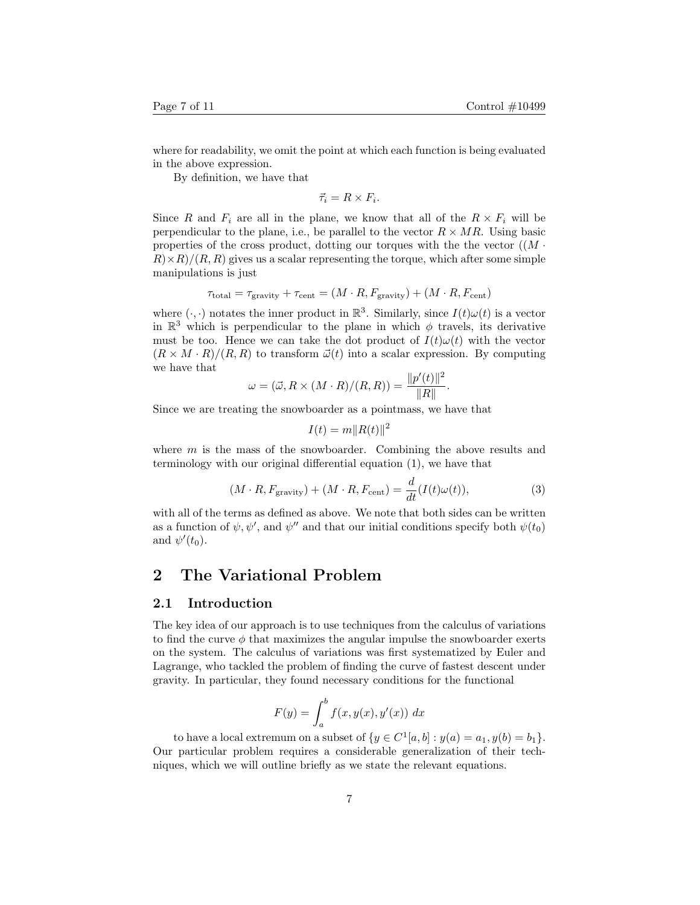where for readability, we omit the point at which each function is being evaluated in the above expression.

By definition, we have that

 $\vec{\tau}_i = R \times F_i.$ 

Since R and  $F_i$  are all in the plane, we know that all of the  $R \times F_i$  will be perpendicular to the plane, i.e., be parallel to the vector  $R \times MR$ . Using basic properties of the cross product, dotting our torques with the the vector  $((M \cdot$  $R \times R$ /(R, R) gives us a scalar representing the torque, which after some simple manipulations is just

$$
\tau_{\text{total}} = \tau_{\text{gravity}} + \tau_{\text{cent}} = (M \cdot R, F_{\text{gravity}}) + (M \cdot R, F_{\text{cent}})
$$

where  $(\cdot, \cdot)$  notates the inner product in  $\mathbb{R}^3$ . Similarly, since  $I(t)\omega(t)$  is a vector in  $\mathbb{R}^3$  which is perpendicular to the plane in which  $\phi$  travels, its derivative must be too. Hence we can take the dot product of  $I(t)\omega(t)$  with the vector  $(R \times M \cdot R)/(R, R)$  to transform  $\vec{\omega}(t)$  into a scalar expression. By computing we have that

$$
\omega = (\vec{\omega}, R \times (M \cdot R)/(R, R)) = \frac{\|p'(t)\|^2}{\|R\|}.
$$

Since we are treating the snowboarder as a pointmass, we have that

$$
I(t) = m||R(t)||^2
$$

where  $m$  is the mass of the snowboarder. Combining the above results and terminology with our original differential equation (1), we have that

$$
(M \cdot R, F_{\text{gravity}}) + (M \cdot R, F_{\text{cent}}) = \frac{d}{dt}(I(t)\omega(t)),\tag{3}
$$

with all of the terms as defined as above. We note that both sides can be written as a function of  $\psi, \psi'$ , and  $\psi''$  and that our initial conditions specify both  $\psi(t_0)$ and  $\psi'(t_0)$ .

## 2 The Variational Problem

#### 2.1 Introduction

The key idea of our approach is to use techniques from the calculus of variations to find the curve  $\phi$  that maximizes the angular impulse the snowboarder exerts on the system. The calculus of variations was first systematized by Euler and Lagrange, who tackled the problem of finding the curve of fastest descent under gravity. In particular, they found necessary conditions for the functional

$$
F(y) = \int_a^b f(x, y(x), y'(x)) dx
$$

to have a local extremum on a subset of  $\{y \in C^1[a, b] : y(a) = a_1, y(b) = b_1\}.$ Our particular problem requires a considerable generalization of their techniques, which we will outline briefly as we state the relevant equations.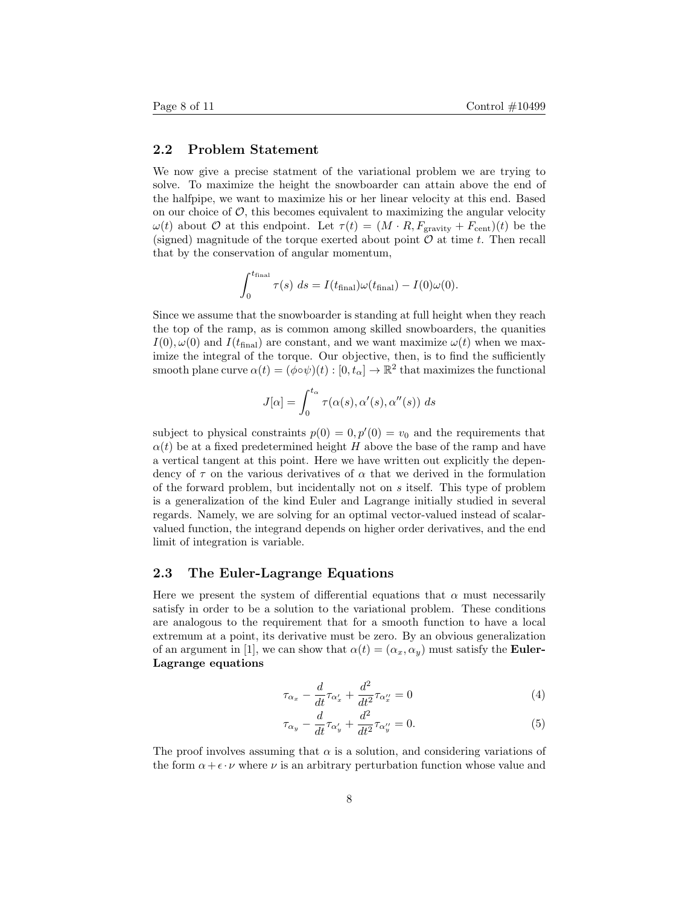## 2.2 Problem Statement

We now give a precise statment of the variational problem we are trying to solve. To maximize the height the snowboarder can attain above the end of the halfpipe, we want to maximize his or her linear velocity at this end. Based on our choice of  $\mathcal{O}$ , this becomes equivalent to maximizing the angular velocity  $\omega(t)$  about  $\mathcal O$  at this endpoint. Let  $\tau(t) = (M \cdot R, F_{\text{gravity}} + F_{\text{cent}})(t)$  be the (signed) magnitude of the torque exerted about point  $\mathcal O$  at time t. Then recall that by the conservation of angular momentum,

$$
\int_0^{t_{\text{final}}} \tau(s) \ ds = I(t_{\text{final}})\omega(t_{\text{final}}) - I(0)\omega(0).
$$

Since we assume that the snowboarder is standing at full height when they reach the top of the ramp, as is common among skilled snowboarders, the quanities  $I(0), \omega(0)$  and  $I(t_{\text{final}})$  are constant, and we want maximize  $\omega(t)$  when we maximize the integral of the torque. Our objective, then, is to find the sufficiently smooth plane curve  $\alpha(t) = (\phi \circ \psi)(t) : [0, t_\alpha] \to \mathbb{R}^2$  that maximizes the functional

$$
J[\alpha] = \int_0^{t_\alpha} \tau(\alpha(s), \alpha'(s), \alpha''(s)) ds
$$

subject to physical constraints  $p(0) = 0, p'(0) = v_0$  and the requirements that  $\alpha(t)$  be at a fixed predetermined height H above the base of the ramp and have a vertical tangent at this point. Here we have written out explicitly the dependency of  $\tau$  on the various derivatives of  $\alpha$  that we derived in the formulation of the forward problem, but incidentally not on s itself. This type of problem is a generalization of the kind Euler and Lagrange initially studied in several regards. Namely, we are solving for an optimal vector-valued instead of scalarvalued function, the integrand depends on higher order derivatives, and the end limit of integration is variable.

### 2.3 The Euler-Lagrange Equations

Here we present the system of differential equations that  $\alpha$  must necessarily satisfy in order to be a solution to the variational problem. These conditions are analogous to the requirement that for a smooth function to have a local extremum at a point, its derivative must be zero. By an obvious generalization of an argument in [1], we can show that  $\alpha(t) = (\alpha_x, \alpha_y)$  must satisfy the **Euler-**Lagrange equations

$$
\tau_{\alpha_x} - \frac{d}{dt}\tau_{\alpha'_x} + \frac{d^2}{dt^2}\tau_{\alpha''_x} = 0
$$
\n(4)

$$
\tau_{\alpha_y} - \frac{d}{dt}\tau_{\alpha'_y} + \frac{d^2}{dt^2}\tau_{\alpha''_y} = 0.
$$
\n(5)

The proof involves assuming that  $\alpha$  is a solution, and considering variations of the form  $\alpha + \epsilon \cdot \nu$  where  $\nu$  is an arbitrary perturbation function whose value and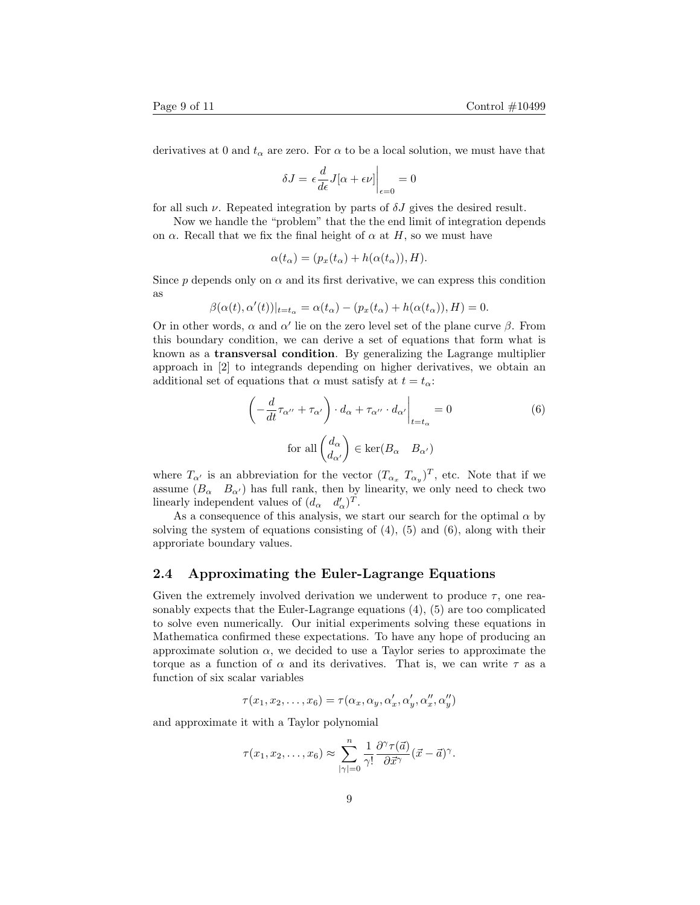derivatives at 0 and  $t_{\alpha}$  are zero. For  $\alpha$  to be a local solution, we must have that

$$
\delta J = \epsilon \frac{d}{d\epsilon} J[\alpha + \epsilon \nu] \bigg|_{\epsilon = 0} = 0
$$

for all such  $\nu$ . Repeated integration by parts of  $\delta J$  gives the desired result.

Now we handle the "problem" that the the end limit of integration depends on  $\alpha$ . Recall that we fix the final height of  $\alpha$  at H, so we must have

$$
\alpha(t_{\alpha}) = (p_x(t_{\alpha}) + h(\alpha(t_{\alpha})), H).
$$

Since p depends only on  $\alpha$  and its first derivative, we can express this condition as

$$
\beta(\alpha(t), \alpha'(t))|_{t=t_{\alpha}} = \alpha(t_{\alpha}) - (p_x(t_{\alpha}) + h(\alpha(t_{\alpha})), H) = 0.
$$

Or in other words,  $\alpha$  and  $\alpha'$  lie on the zero level set of the plane curve  $\beta$ . From this boundary condition, we can derive a set of equations that form what is known as a transversal condition. By generalizing the Lagrange multiplier approach in [2] to integrands depending on higher derivatives, we obtain an additional set of equations that  $\alpha$  must satisfy at  $t = t_{\alpha}$ :

$$
\left(-\frac{d}{dt}\tau_{\alpha''} + \tau_{\alpha'}\right) \cdot d_{\alpha} + \tau_{\alpha''} \cdot d_{\alpha'}\Big|_{t=t_{\alpha}} = 0
$$
\n
$$
\text{for all } \left(\frac{d_{\alpha}}{d_{\alpha'}}\right) \in \text{ker}(B_{\alpha} \quad B_{\alpha'})
$$
\n(6)

where  $T_{\alpha}$  is an abbreviation for the vector  $(T_{\alpha_x} T_{\alpha_y})^T$ , etc. Note that if we assume  $(B_{\alpha} \quad B_{\alpha})$  has full rank, then by linearity, we only need to check two linearly independent values of  $(d_{\alpha} \quad d_{\alpha}')^T$ .

As a consequence of this analysis, we start our search for the optimal  $\alpha$  by solving the system of equations consisting of  $(4)$ ,  $(5)$  and  $(6)$ , along with their approriate boundary values.

### 2.4 Approximating the Euler-Lagrange Equations

Given the extremely involved derivation we underwent to produce  $\tau$ , one reasonably expects that the Euler-Lagrange equations (4), (5) are too complicated to solve even numerically. Our initial experiments solving these equations in Mathematica confirmed these expectations. To have any hope of producing an approximate solution  $\alpha$ , we decided to use a Taylor series to approximate the torque as a function of  $\alpha$  and its derivatives. That is, we can write  $\tau$  as a function of six scalar variables

$$
\tau(x_1, x_2, \dots, x_6) = \tau(\alpha_x, \alpha_y, \alpha'_x, \alpha'_y, \alpha''_x, \alpha''_y)
$$

and approximate it with a Taylor polynomial

$$
\tau(x_1, x_2, \dots, x_6) \approx \sum_{|\gamma|=0}^n \frac{1}{\gamma!} \frac{\partial^{\gamma} \tau(\vec{a})}{\partial \vec{x}^{\gamma}} (\vec{x} - \vec{a})^{\gamma}.
$$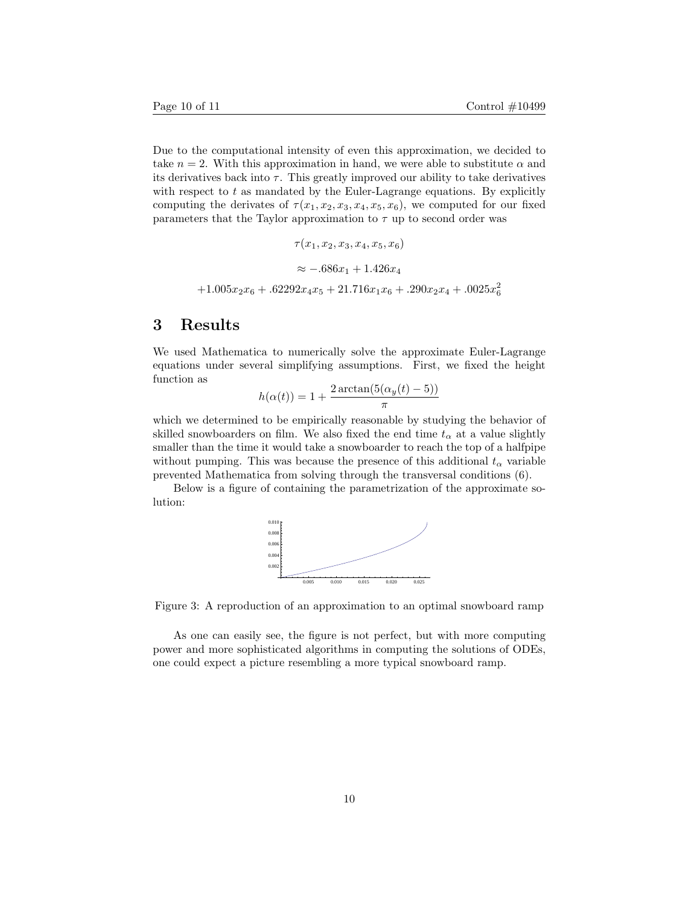Due to the computational intensity of even this approximation, we decided to take  $n = 2$ . With this approximation in hand, we were able to substitute  $\alpha$  and its derivatives back into  $\tau$ . This greatly improved our ability to take derivatives with respect to  $t$  as mandated by the Euler-Lagrange equations. By explicitly computing the derivates of  $\tau(x_1, x_2, x_3, x_4, x_5, x_6)$ , we computed for our fixed parameters that the Taylor approximation to  $\tau$  up to second order was

$$
\tau(x_1, x_2, x_3, x_4, x_5, x_6)
$$
  

$$
\approx -.686x_1 + 1.426x_4
$$
  
+1.005x<sub>2</sub>x<sub>6</sub> + .62292x<sub>4</sub>x<sub>5</sub> + 21.716x<sub>1</sub>x<sub>6</sub> + .290x<sub>2</sub>x<sub>4</sub> + .0025x<sub>6</sub><sup>2</sup>

# 3 Results

We used Mathematica to numerically solve the approximate Euler-Lagrange equations under several simplifying assumptions. First, we fixed the height function as

$$
h(\alpha(t)) = 1 + \frac{2 \arctan(5(\alpha_y(t) - 5))}{\pi}
$$

which we determined to be empirically reasonable by studying the behavior of skilled snowboarders on film. We also fixed the end time  $t_{\alpha}$  at a value slightly smaller than the time it would take a snowboarder to reach the top of a halfpipe without pumping. This was because the presence of this additional  $t_{\alpha}$  variable prevented Mathematica from solving through the transversal conditions (6).

Below is a figure of containing the parametrization of the approximate solution:



Figure 3: A reproduction of an approximation to an optimal snowboard ramp

As one can easily see, the figure is not perfect, but with more computing power and more sophisticated algorithms in computing the solutions of ODEs, one could expect a picture resembling a more typical snowboard ramp.